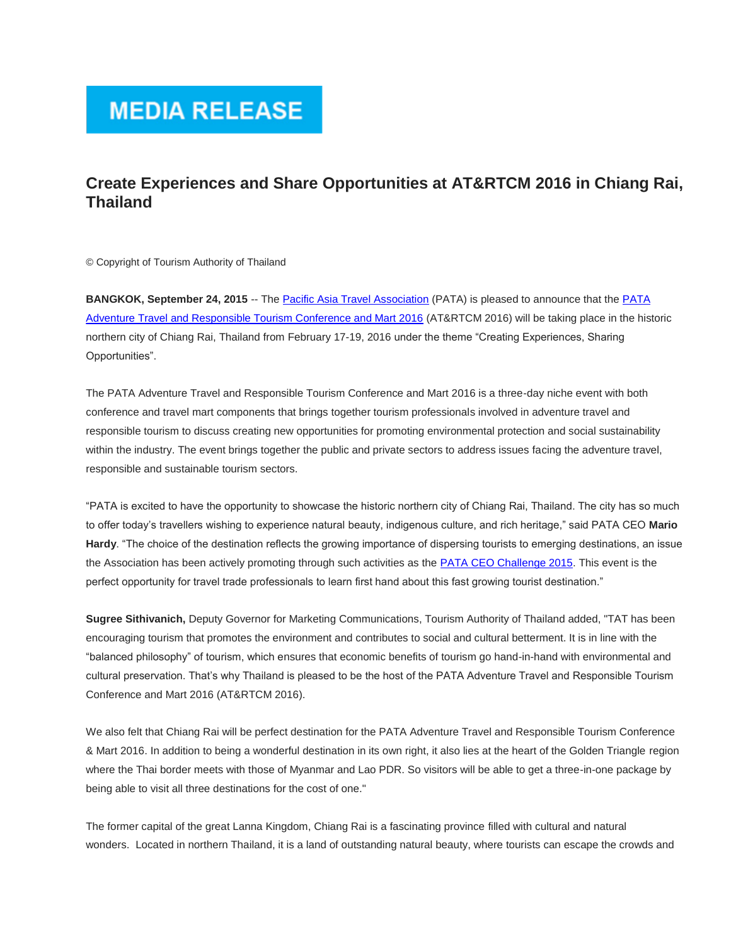## **MEDIA RELEASE**

## **Create Experiences and Share Opportunities at AT&RTCM 2016 in Chiang Rai, Thailand**

© Copyright of Tourism Authority of Thailand

**BANGKOK, September 24, 2015** -- The [Pacific Asia Travel Association](http://pata.us1.list-manage.com/track/click?u=40516b5a300441f576f4dca37&id=66d1a359bf&e=d4c1d38355) (PATA) is pleased to announce that the [PATA](http://pata.us1.list-manage2.com/track/click?u=40516b5a300441f576f4dca37&id=4ebe9183c2&e=d4c1d38355)  [Adventure Travel and Responsible Tourism Conference and Mart 2016](http://pata.us1.list-manage2.com/track/click?u=40516b5a300441f576f4dca37&id=4ebe9183c2&e=d4c1d38355) (AT&RTCM 2016) will be taking place in the historic northern city of Chiang Rai, Thailand from February 17-19, 2016 under the theme "Creating Experiences, Sharing Opportunities".

The PATA Adventure Travel and Responsible Tourism Conference and Mart 2016 is a three-day niche event with both conference and travel mart components that brings together tourism professionals involved in adventure travel and responsible tourism to discuss creating new opportunities for promoting environmental protection and social sustainability within the industry. The event brings together the public and private sectors to address issues facing the adventure travel, responsible and sustainable tourism sectors.

"PATA is excited to have the opportunity to showcase the historic northern city of Chiang Rai, Thailand. The city has so much to offer today's travellers wishing to experience natural beauty, indigenous culture, and rich heritage," said PATA CEO **Mario Hardy**. "The choice of the destination reflects the growing importance of dispersing tourists to emerging destinations, an issue the Association has been actively promoting through such activities as the [PATA CEO Challenge 2015.](http://pata.us1.list-manage.com/track/click?u=40516b5a300441f576f4dca37&id=f8afbd8c37&e=d4c1d38355) This event is the perfect opportunity for travel trade professionals to learn first hand about this fast growing tourist destination."

**Sugree Sithivanich,** Deputy Governor for Marketing Communications, Tourism Authority of Thailand added, "TAT has been encouraging tourism that promotes the environment and contributes to social and cultural betterment. It is in line with the "balanced philosophy" of tourism, which ensures that economic benefits of tourism go hand-in-hand with environmental and cultural preservation. That's why Thailand is pleased to be the host of the PATA Adventure Travel and Responsible Tourism Conference and Mart 2016 (AT&RTCM 2016).

We also felt that Chiang Rai will be perfect destination for the PATA Adventure Travel and Responsible Tourism Conference & Mart 2016. In addition to being a wonderful destination in its own right, it also lies at the heart of the Golden Triangle region where the Thai border meets with those of Myanmar and Lao PDR. So visitors will be able to get a three-in-one package by being able to visit all three destinations for the cost of one."

The former capital of the great Lanna Kingdom, Chiang Rai is a fascinating province filled with cultural and natural wonders. Located in northern Thailand, it is a land of outstanding natural beauty, where tourists can escape the crowds and